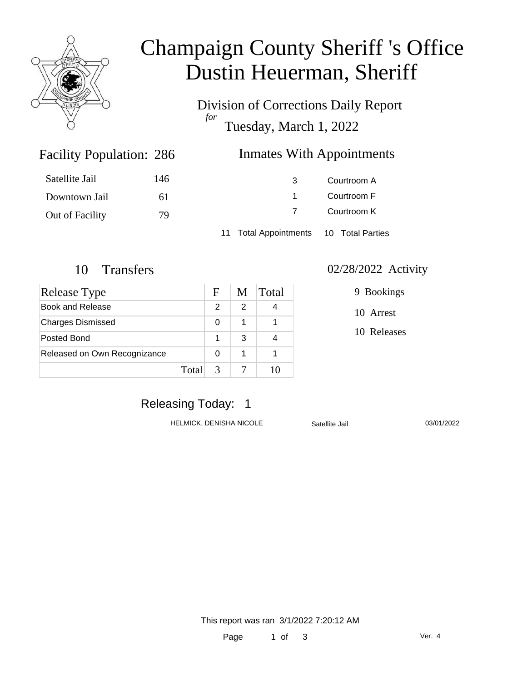

# Champaign County Sheriff 's Office Dustin Heuerman, Sheriff

Division of Corrections Daily Report *for* Tuesday, March 1, 2022

### Inmates With Appointments

| Satellite Jail  | 146 | 3                                      | Courtroom A |  |
|-----------------|-----|----------------------------------------|-------------|--|
| Downtown Jail   | 61  |                                        | Courtroom F |  |
| Out of Facility | 79  |                                        | Courtroom K |  |
|                 |     | 11 Total Appointments 10 Total Parties |             |  |

Facility Population: 286

| Release Type                 |       | F | M | Total |
|------------------------------|-------|---|---|-------|
| Book and Release             |       | 2 | 2 |       |
| <b>Charges Dismissed</b>     |       | 0 |   |       |
| Posted Bond                  |       |   | 3 |       |
| Released on Own Recognizance |       | 0 |   |       |
|                              | Total | 3 |   |       |

#### 10 Transfers 02/28/2022 Activity

9 Bookings

10 Arrest

10 Releases

# Releasing Today: 1

HELMICK, DENISHA NICOLE Satellite Jail 03/01/2022

This report was ran 3/1/2022 7:20:12 AM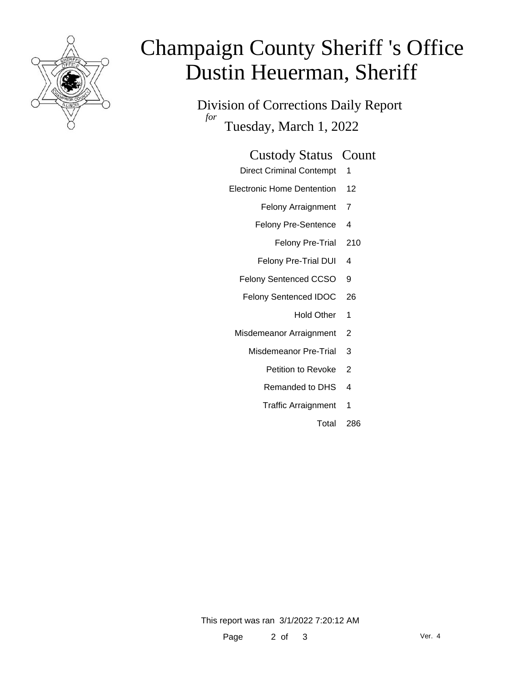

# Champaign County Sheriff 's Office Dustin Heuerman, Sheriff

Division of Corrections Daily Report *for* Tuesday, March 1, 2022

#### Custody Status Count

- Direct Criminal Contempt 1
- Electronic Home Dentention 12
	- Felony Arraignment 7
	- Felony Pre-Sentence 4
		- Felony Pre-Trial 210
	- Felony Pre-Trial DUI 4
	- Felony Sentenced CCSO 9
	- Felony Sentenced IDOC 26
		- Hold Other 1
	- Misdemeanor Arraignment 2
		- Misdemeanor Pre-Trial 3
			- Petition to Revoke 2
			- Remanded to DHS 4
			- Traffic Arraignment 1
				- Total 286

This report was ran 3/1/2022 7:20:12 AM